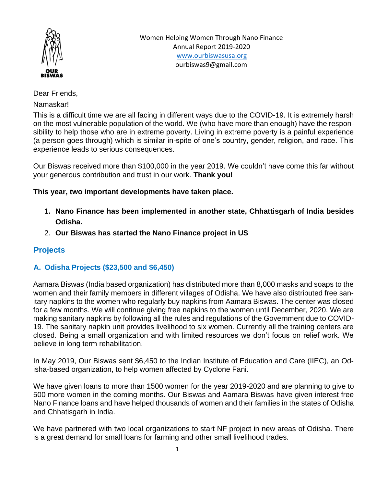

Dear Friends,

Namaskar!

This is a difficult time we are all facing in different ways due to the COVID-19. It is extremely harsh on the most vulnerable population of the world. We (who have more than enough) have the responsibility to help those who are in extreme poverty. Living in extreme poverty is a painful experience (a person goes through) which is similar in-spite of one's country, gender, religion, and race. This experience leads to serious consequences.

Our Biswas received more than \$100,000 in the year 2019. We couldn't have come this far without your generous contribution and trust in our work. **Thank you!**

### **This year, two important developments have taken place.**

- **1. Nano Finance has been implemented in another state, Chhattisgarh of India besides Odisha.**
- 2. **Our Biswas has started the Nano Finance project in US**

# **Projects**

## **A. Odisha Projects (\$23,500 and \$6,450)**

Aamara Biswas (India based organization) has distributed more than 8,000 masks and soaps to the women and their family members in different villages of Odisha. We have also distributed free sanitary napkins to the women who regularly buy napkins from Aamara Biswas. The center was closed for a few months. We will continue giving free napkins to the women until December, 2020. We are making sanitary napkins by following all the rules and regulations of the Government due to COVID-19. The sanitary napkin unit provides livelihood to six women. Currently all the training centers are closed. Being a small organization and with limited resources we don't focus on relief work. We believe in long term rehabilitation.

In May 2019, Our Biswas sent \$6,450 to the Indian Institute of Education and Care (IIEC), an Odisha-based organization, to help women affected by Cyclone Fani.

We have given loans to more than 1500 women for the year 2019-2020 and are planning to give to 500 more women in the coming months. Our Biswas and Aamara Biswas have given interest free Nano Finance loans and have helped thousands of women and their families in the states of Odisha and Chhatisgarh in India.

We have partnered with two local organizations to start NF project in new areas of Odisha. There is a great demand for small loans for farming and other small livelihood trades.